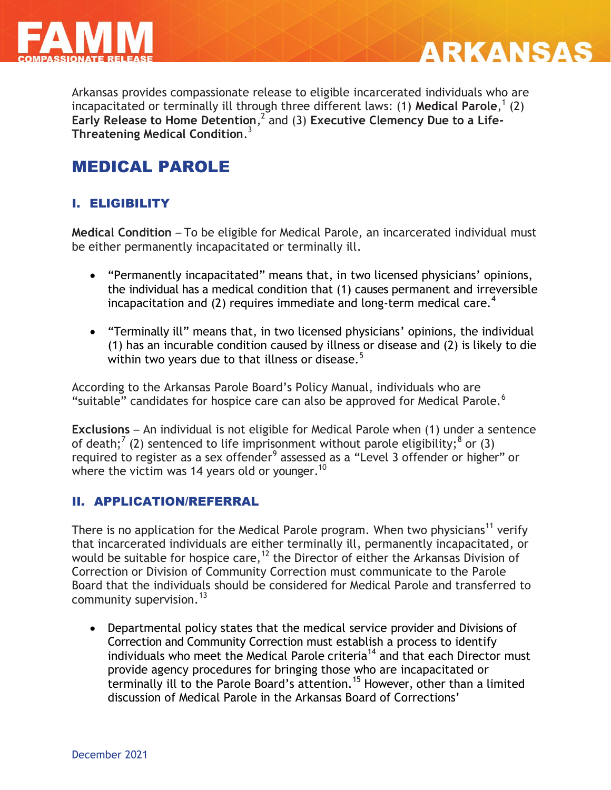



Arkansas provides compassionate release to eligible incarcerated individuals who are incapacitated or terminally ill through three different laws: (1) **Medical Parole**, 1 (2) Early Release to Home Detention,<sup>2</sup> and (3) Executive Clemency Due to a Life-**Threatening Medical Condition**. 3

# MEDICAL PAROLE

## I. ELIGIBILITY

**Medical Condition** – To be eligible for Medical Parole, an incarcerated individual must be either permanently incapacitated or terminally ill.

- "Permanently incapacitated" means that, in two licensed physicians' opinions, the individual has a medical condition that (1) causes permanent and irreversible incapacitation and (2) requires immediate and long-term medical care.<sup>4</sup>
- "Terminally ill" means that, in two licensed physicians' opinions, the individual (1) has an incurable condition caused by illness or disease and (2) is likely to die within two years due to that illness or disease. $5$

According to the Arkansas Parole Board's Policy Manual, individuals who are "suitable" candidates for hospice care can also be approved for Medical Parole. $6$ 

**Exclusions** – An individual is not eligible for Medical Parole when (1) under a sentence of death;<sup>7</sup> (2) sentenced to life imprisonment without parole eligibility;<sup>8</sup> or (3) required to register as a sex offender<sup>9</sup> assessed as a "Level 3 offender or higher" or where the victim was 14 years old or younger.<sup>10</sup>

## II. APPLICATION/REFERRAL

There is no application for the Medical Parole program. When two physicians<sup>11</sup> verify that incarcerated individuals are either terminally ill, permanently incapacitated, or would be suitable for hospice care,  $12$  the Director of either the Arkansas Division of Correction or Division of Community Correction must communicate to the Parole Board that the individuals should be considered for Medical Parole and transferred to community supervision.  $13$ 

 Departmental policy states that the medical service provider and Divisions of Correction and Community Correction must establish a process to identify individuals who meet the Medical Parole criteria<sup>14</sup> and that each Director must provide agency procedures for bringing those who are incapacitated or terminally ill to the Parole Board's attention.<sup>15</sup> However, other than a limited discussion of Medical Parole in the Arkansas Board of Corrections'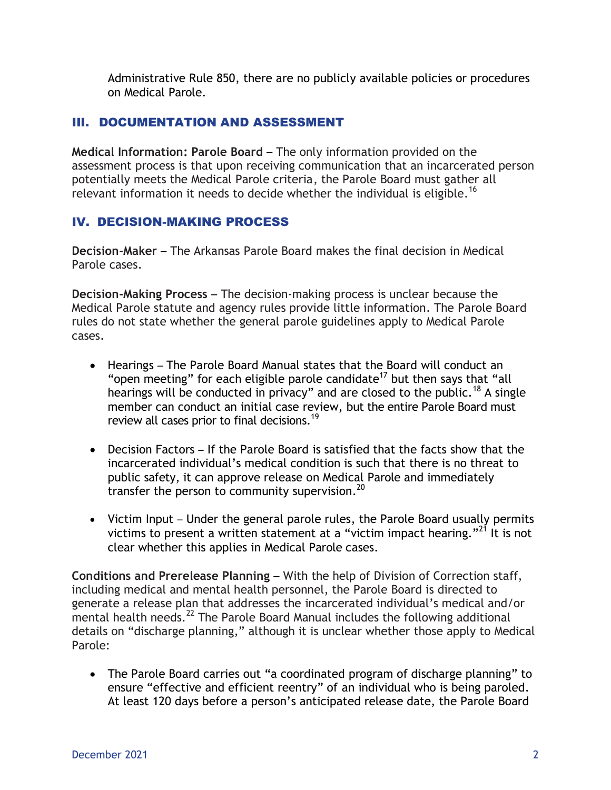Administrative Rule 850, there are no publicly available policies or procedures on Medical Parole.

## III. DOCUMENTATION AND ASSESSMENT

**Medical Information: Parole Board** – The only information provided on the assessment process is that upon receiving communication that an incarcerated person potentially meets the Medical Parole criteria, the Parole Board must gather all relevant information it needs to decide whether the individual is eligible.<sup>16</sup>

## IV. DECISION-MAKING PROCESS

**Decision-Maker** – The Arkansas Parole Board makes the final decision in Medical Parole cases.

**Decision-Making Process** – The decision-making process is unclear because the Medical Parole statute and agency rules provide little information. The Parole Board rules do not state whether the general parole guidelines apply to Medical Parole cases.

- Hearings The Parole Board Manual states that the Board will conduct an "open meeting" for each eligible parole candidate<sup>17</sup> but then says that "all hearings will be conducted in privacy" and are closed to the public.<sup>18</sup> A single member can conduct an initial case review, but the entire Parole Board must review all cases prior to final decisions.<sup>19</sup>
- Decision Factors If the Parole Board is satisfied that the facts show that the incarcerated individual's medical condition is such that there is no threat to public safety, it can approve release on Medical Parole and immediately transfer the person to community supervision. $^{20}$
- Victim Input Under the general parole rules, the Parole Board usually permits victims to present a written statement at a "victim impact hearing."<sup>21</sup> It is not clear whether this applies in Medical Parole cases.

**Conditions and Prerelease Planning** – With the help of Division of Correction staff, including medical and mental health personnel, the Parole Board is directed to generate a release plan that addresses the incarcerated individual's medical and/or mental health needs.<sup>22</sup> The Parole Board Manual includes the following additional details on "discharge planning," although it is unclear whether those apply to Medical Parole:

 The Parole Board carries out "a coordinated program of discharge planning" to ensure "effective and efficient reentry" of an individual who is being paroled. At least 120 days before a person's anticipated release date, the Parole Board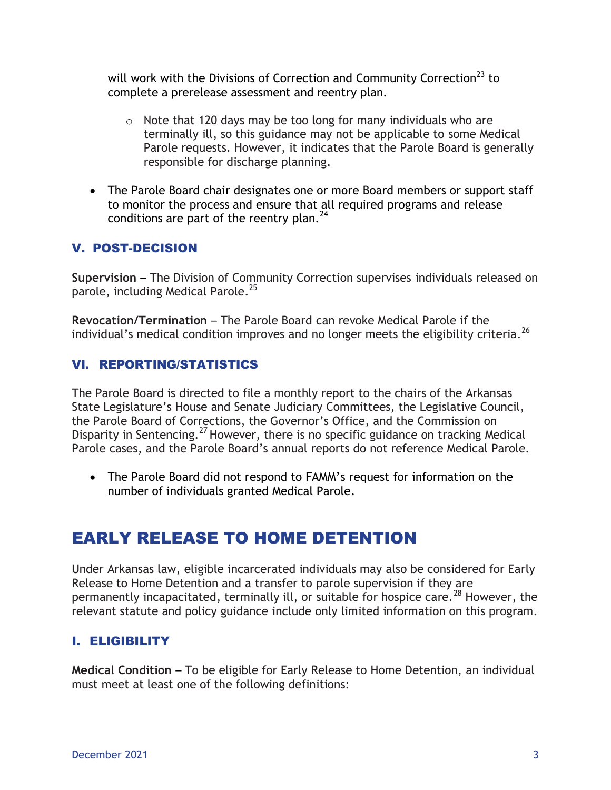will work with the Divisions of Correction and Community Correction<sup>23</sup> to complete a prerelease assessment and reentry plan.

- o Note that 120 days may be too long for many individuals who are terminally ill, so this guidance may not be applicable to some Medical Parole requests. However, it indicates that the Parole Board is generally responsible for discharge planning.
- The Parole Board chair designates one or more Board members or support staff to monitor the process and ensure that all required programs and release conditions are part of the reentry plan. $^{24}$

## V. POST-DECISION

**Supervision** – The Division of Community Correction supervises individuals released on parole, including Medical Parole.<sup>25</sup>

**Revocation/Termination** – The Parole Board can revoke Medical Parole if the individual's medical condition improves and no longer meets the eligibility criteria.<sup>26</sup>

## VI. REPORTING/STATISTICS

The Parole Board is directed to file a monthly report to the chairs of the Arkansas State Legislature's House and Senate Judiciary Committees, the Legislative Council, the Parole Board of Corrections, the Governor's Office, and the Commission on Disparity in Sentencing.<sup>27</sup> However, there is no specific guidance on tracking Medical Parole cases, and the Parole Board's annual reports do not reference Medical Parole.

 The Parole Board did not respond to FAMM's request for information on the number of individuals granted Medical Parole.

# EARLY RELEASE TO HOME DETENTION

Under Arkansas law, eligible incarcerated individuals may also be considered for Early Release to Home Detention and a transfer to parole supervision if they are permanently incapacitated, terminally ill, or suitable for hospice care.<sup>28</sup> However, the relevant statute and policy guidance include only limited information on this program.

## I. ELIGIBILITY

**Medical Condition** – To be eligible for Early Release to Home Detention, an individual must meet at least one of the following definitions: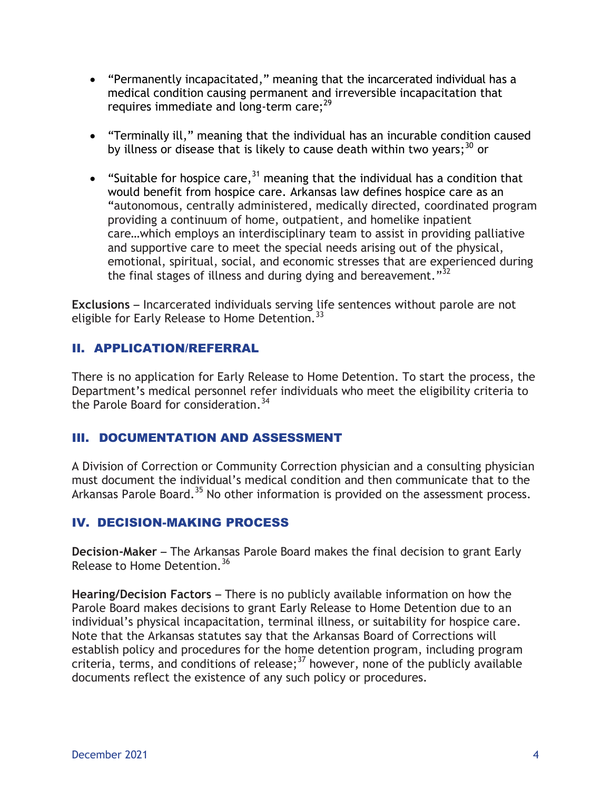- "Permanently incapacitated," meaning that the incarcerated individual has a medical condition causing permanent and irreversible incapacitation that requires immediate and long-term care; $^{29}$
- "Terminally ill," meaning that the individual has an incurable condition caused by illness or disease that is likely to cause death within two years; $30$  or
- "Suitable for hospice care,<sup>31</sup> meaning that the individual has a condition that would benefit from hospice care. Arkansas law defines hospice care as an "autonomous, centrally administered, medically directed, coordinated program providing a continuum of home, outpatient, and homelike inpatient care…which employs an interdisciplinary team to assist in providing palliative and supportive care to meet the special needs arising out of the physical, emotional, spiritual, social, and economic stresses that are experienced during the final stages of illness and during dying and bereavement." $^{32}$

**Exclusions** – Incarcerated individuals serving life sentences without parole are not eligible for Early Release to Home Detention.<sup>33</sup>

## II. APPLICATION/REFERRAL

There is no application for Early Release to Home Detention. To start the process, the Department's medical personnel refer individuals who meet the eligibility criteria to the Parole Board for consideration.<sup>34</sup>

## III. DOCUMENTATION AND ASSESSMENT

A Division of Correction or Community Correction physician and a consulting physician must document the individual's medical condition and then communicate that to the Arkansas Parole Board.<sup>35</sup> No other information is provided on the assessment process.

## IV. DECISION-MAKING PROCESS

**Decision-Maker** – The Arkansas Parole Board makes the final decision to grant Early Release to Home Detention.<sup>36</sup>

**Hearing/Decision Factors** – There is no publicly available information on how the Parole Board makes decisions to grant Early Release to Home Detention due to an individual's physical incapacitation, terminal illness, or suitability for hospice care. Note that the Arkansas statutes say that the Arkansas Board of Corrections will establish policy and procedures for the home detention program, including program criteria, terms, and conditions of release; $37$  however, none of the publicly available documents reflect the existence of any such policy or procedures.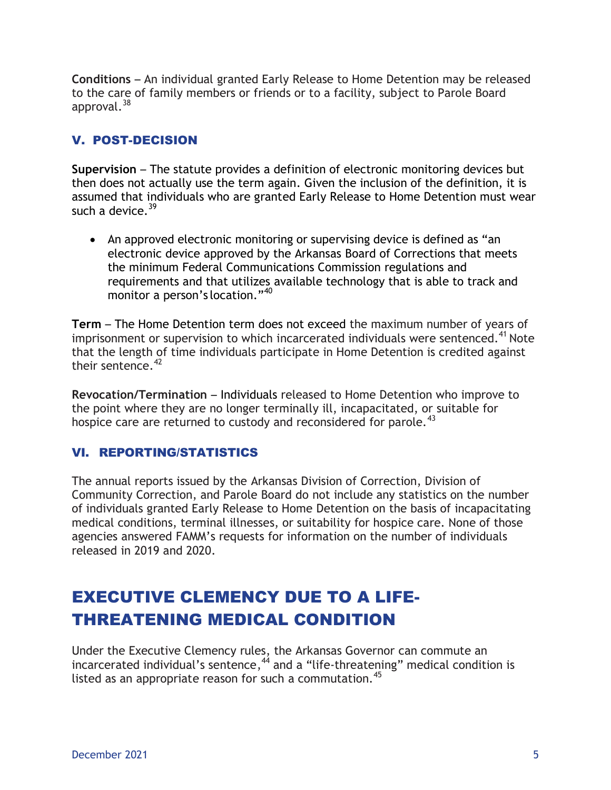**Conditions** – An individual granted Early Release to Home Detention may be released to the care of family members or friends or to a facility, subject to Parole Board approval.<sup>38</sup>

## V. POST-DECISION

**Supervision** – The statute provides a definition of electronic monitoring devices but then does not actually use the term again. Given the inclusion of the definition, it is assumed that individuals who are granted Early Release to Home Detention must wear such a device.  $39$ 

 An approved electronic monitoring or supervising device is defined as "an electronic device approved by the Arkansas Board of Corrections that meets the minimum Federal Communications Commission regulations and requirements and that utilizes available technology that is able to track and monitor a person's location."<sup>40</sup>

**Term** – The Home Detention term does not exceed the maximum number of years of imprisonment or supervision to which incarcerated individuals were sentenced.<sup>41</sup> Note that the length of time individuals participate in Home Detention is credited against their sentence  $42$ 

**Revocation/Termination** – Individuals released to Home Detention who improve to the point where they are no longer terminally ill, incapacitated, or suitable for hospice care are returned to custody and reconsidered for parole.<sup>43</sup>

## VI. REPORTING/STATISTICS

The annual reports issued by the Arkansas Division of Correction, Division of Community Correction, and Parole Board do not include any statistics on the number of individuals granted Early Release to Home Detention on the basis of incapacitating medical conditions, terminal illnesses, or suitability for hospice care. None of those agencies answered FAMM's requests for information on the number of individuals released in 2019 and 2020.

# EXECUTIVE CLEMENCY DUE TO A LIFE-THREATENING MEDICAL CONDITION

Under the Executive Clemency rules, the Arkansas Governor can commute an incarcerated individual's sentence,  $4\overline{4}$  and a "life-threatening" medical condition is listed as an appropriate reason for such a commutation.<sup>45</sup>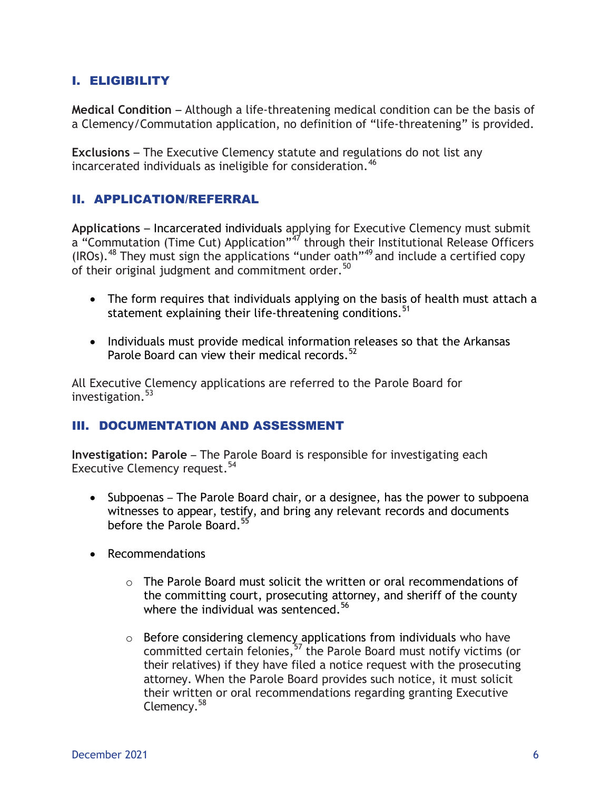## I. ELIGIBILITY

**Medical Condition** – Although a life-threatening medical condition can be the basis of a Clemency/Commutation application, no definition of "life-threatening" is provided.

**Exclusions** – The Executive Clemency statute and regulations do not list any incarcerated individuals as ineligible for consideration.  $46$ 

## II. APPLICATION/REFERRAL

**Applications** – Incarcerated individuals applying for Executive Clemency must submit a "Commutation (Time Cut) Application"<sup>47</sup> through their Institutional Release Officers (IROs).<sup>48</sup> They must sign the applications "under oath"<sup>49</sup> and include a certified copy of their original judgment and commitment order.<sup>50</sup>

- The form requires that individuals applying on the basis of health must attach a statement explaining their life-threatening conditions.<sup>51</sup>
- Individuals must provide medical information releases so that the Arkansas Parole Board can view their medical records.<sup>52</sup>

All Executive Clemency applications are referred to the Parole Board for investigation.<sup>53</sup>

### III. DOCUMENTATION AND ASSESSMENT

**Investigation: Parole** – The Parole Board is responsible for investigating each Executive Clemency request.<sup>54</sup>

- Subpoenas The Parole Board chair, or a designee, has the power to subpoena witnesses to appear, testify, and bring any relevant records and documents before the Parole Board.<sup>55</sup>
- Recommendations
	- o The Parole Board must solicit the written or oral recommendations of the committing court, prosecuting attorney, and sheriff of the county where the individual was sentenced.<sup>56</sup>
	- $\circ$  Before considering clemency applications from individuals who have committed certain felonies,  $57$  the Parole Board must notify victims (or their relatives) if they have filed a notice request with the prosecuting attorney. When the Parole Board provides such notice, it must solicit their written or oral recommendations regarding granting Executive Clemency.<sup>58</sup>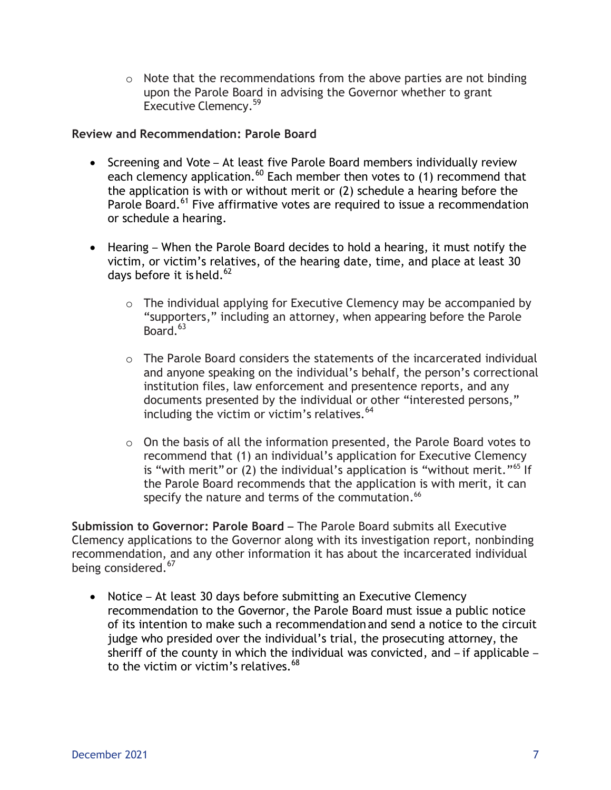$\circ$  Note that the recommendations from the above parties are not binding upon the Parole Board in advising the Governor whether to grant Executive Clemency.<sup>59</sup>

**Review and Recommendation: Parole Board**

- Screening and Vote At least five Parole Board members individually review each clemency application.<sup>60</sup> Each member then votes to (1) recommend that the application is with or without merit or (2) schedule a hearing before the Parole Board.<sup>61</sup> Five affirmative votes are required to issue a recommendation or schedule a hearing.
- Hearing When the Parole Board decides to hold a hearing, it must notify the victim, or victim's relatives, of the hearing date, time, and place at least 30 days before it is held. <sup>62</sup>
	- o The individual applying for Executive Clemency may be accompanied by "supporters," including an attorney, when appearing before the Parole  $B\text{oard.}^{63}$
	- o The Parole Board considers the statements of the incarcerated individual and anyone speaking on the individual's behalf, the person's correctional institution files, law enforcement and presentence reports, and any documents presented by the individual or other "interested persons," including the victim or victim's relatives.<sup>64</sup>
	- $\circ$  On the basis of all the information presented, the Parole Board votes to recommend that (1) an individual's application for Executive Clemency is "with merit" or (2) the individual's application is "without merit."<sup>65</sup> If the Parole Board recommends that the application is with merit, it can specify the nature and terms of the commutation.<sup>66</sup>

**Submission to Governor: Parole Board** – The Parole Board submits all Executive Clemency applications to the Governor along with its investigation report, nonbinding recommendation, and any other information it has about the incarcerated individual being considered.<sup>67</sup>

• Notice – At least 30 days before submitting an Executive Clemency recommendation to the Governor, the Parole Board must issue a public notice of its intention to make such a recommendation and send a notice to the circuit judge who presided over the individual's trial, the prosecuting attorney, the sheriff of the county in which the individual was convicted, and – if applicable – to the victim or victim's relatives. $68$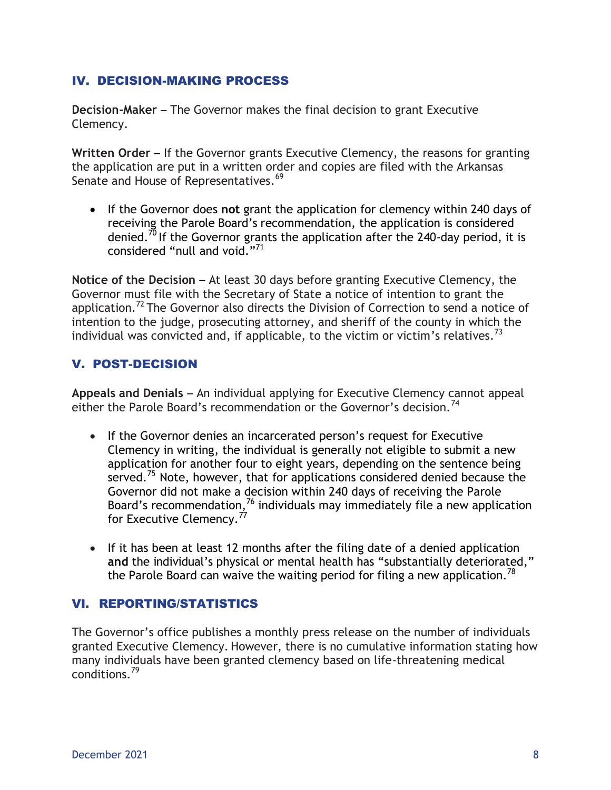## IV. DECISION-MAKING PROCESS

**Decision-Maker** – The Governor makes the final decision to grant Executive Clemency.

**Written Order** – If the Governor grants Executive Clemency, the reasons for granting the application are put in a written order and copies are filed with the Arkansas Senate and House of Representatives.<sup>69</sup>

 If the Governor does **not** grant the application for clemency within 240 days of receiving the Parole Board's recommendation, the application is considered denied.<sup>70</sup> If the Governor grants the application after the 240-day period, it is considered "null and void."<sup>71</sup>

**Notice of the Decision – At least 30 days before granting Executive Clemency, the** Governor must file with the Secretary of State a notice of intention to grant the application.<sup>72</sup> The Governor also directs the Division of Correction to send a notice of intention to the judge, prosecuting attorney, and sheriff of the county in which the individual was convicted and, if applicable, to the victim or victim's relatives.<sup>73</sup>

## V. POST-DECISION

**Appeals and Denials** – An individual applying for Executive Clemency cannot appeal either the Parole Board's recommendation or the Governor's decision.<sup>74</sup>

- If the Governor denies an incarcerated person's request for Executive Clemency in writing, the individual is generally not eligible to submit a new application for another four to eight years, depending on the sentence being served.<sup>75</sup> Note, however, that for applications considered denied because the Governor did not make a decision within 240 days of receiving the Parole Board's recommendation,  $^{76}$  individuals may immediately file a new application for Executive Clemency.<sup>77</sup>
- If it has been at least 12 months after the filing date of a denied application **and** the individual's physical or mental health has "substantially deteriorated," the Parole Board can waive the waiting period for filing a new application.<sup>78</sup>

## VI. REPORTING/STATISTICS

The Governor's office publishes a monthly press release on the number of individuals granted Executive Clemency. However, there is no cumulative information stating how many individuals have been granted clemency based on life-threatening medical conditions.<sup>79</sup>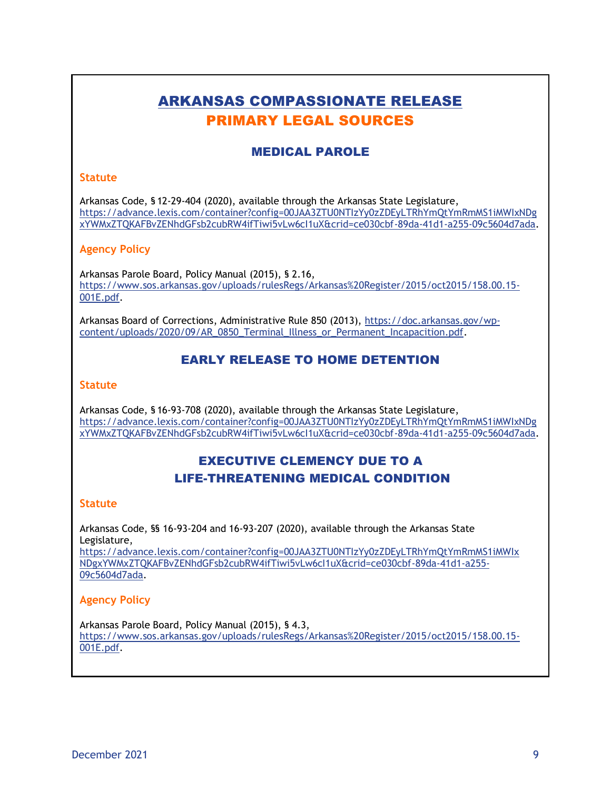## ARKANSAS COMPASSIONATE RELEASE PRIMARY LEGAL SOURCES

## MEDICAL PAROLE

#### **Statute**

Arkansas Code, § 12-29-404 (2020), available through the Arkansas State Legislature, [https://advance.lexis.com/container?config=00JAA3ZTU0NTIzYy0zZDEyLTRhYmQtYmRmMS1iMWIxNDg](https://advance.lexis.com/container?config=00JAA3ZTU0NTIzYy0zZDEyLTRhYmQtYmRmMS1iMWIxNDgxYWMxZTQKAFBvZENhdGFsb2cubRW4ifTiwi5vLw6cI1uX&crid=ce030cbf-89da-41d1-a255-09c5604d7ada) [xYWMxZTQKAFBvZENhdGFsb2cubRW4ifTiwi5vLw6cI1uX&crid=ce030cbf-89da-41d1-a255-09c5604d7ada.](https://advance.lexis.com/container?config=00JAA3ZTU0NTIzYy0zZDEyLTRhYmQtYmRmMS1iMWIxNDgxYWMxZTQKAFBvZENhdGFsb2cubRW4ifTiwi5vLw6cI1uX&crid=ce030cbf-89da-41d1-a255-09c5604d7ada)

#### **Agency Policy**

Arkansas Parole Board, Policy Manual (2015), § 2.16, [https://www.sos.arkansas.gov/uploads/rulesRegs/Arkansas%20Register/2015/oct2015/158.00.15-](https://www.sos.arkansas.gov/uploads/rulesRegs/Arkansas%20Register/2015/oct2015/158.00.15-001E.pdf) [001E.pdf.](https://www.sos.arkansas.gov/uploads/rulesRegs/Arkansas%20Register/2015/oct2015/158.00.15-001E.pdf)

Arkansas Board of Corrections, Administrative Rule 850 (2013), [https://doc.arkansas.gov/wp](https://doc.arkansas.gov/wp-content/uploads/2020/09/AR_0850_Terminal_Illness_or_Permanent_Incapacition.pdf)[content/uploads/2020/09/AR\\_0850\\_Terminal\\_Illness\\_or\\_Permanent\\_Incapacition.pdf.](https://doc.arkansas.gov/wp-content/uploads/2020/09/AR_0850_Terminal_Illness_or_Permanent_Incapacition.pdf)

## EARLY RELEASE TO HOME DETENTION

#### **Statute**

Arkansas Code, § 16-93-708 (2020), available through the Arkansas State Legislature, [https://advance.lexis.com/container?config=00JAA3ZTU0NTIzYy0zZDEyLTRhYmQtYmRmMS1iMWIxNDg](https://advance.lexis.com/container?config=00JAA3ZTU0NTIzYy0zZDEyLTRhYmQtYmRmMS1iMWIxNDgxYWMxZTQKAFBvZENhdGFsb2cubRW4ifTiwi5vLw6cI1uX&crid=ce030cbf-89da-41d1-a255-09c5604d7ada) [xYWMxZTQKAFBvZENhdGFsb2cubRW4ifTiwi5vLw6cI1uX&crid=ce030cbf-89da-41d1-a255-09c5604d7ada.](https://advance.lexis.com/container?config=00JAA3ZTU0NTIzYy0zZDEyLTRhYmQtYmRmMS1iMWIxNDgxYWMxZTQKAFBvZENhdGFsb2cubRW4ifTiwi5vLw6cI1uX&crid=ce030cbf-89da-41d1-a255-09c5604d7ada)

## EXECUTIVE CLEMENCY DUE TO A LIFE-THREATENING MEDICAL CONDITION

#### **Statute**

Arkansas Code, §§ 16-93-204 and 16-93-207 (2020), available through the Arkansas State Legislature,

[https://advance.lexis.com/container?config=00JAA3ZTU0NTIzYy0zZDEyLTRhYmQtYmRmMS1iMWIx](https://advance.lexis.com/container?config=00JAA3ZTU0NTIzYy0zZDEyLTRhYmQtYmRmMS1iMWIxNDgxYWMxZTQKAFBvZENhdGFsb2cubRW4ifTiwi5vLw6cI1uX&crid=ce030cbf-89da-41d1-a255-09c5604d7ada) [NDgxYWMxZTQKAFBvZENhdGFsb2cubRW4ifTiwi5vLw6cI1uX&crid=ce030cbf-89da-41d1-a255-](https://advance.lexis.com/container?config=00JAA3ZTU0NTIzYy0zZDEyLTRhYmQtYmRmMS1iMWIxNDgxYWMxZTQKAFBvZENhdGFsb2cubRW4ifTiwi5vLw6cI1uX&crid=ce030cbf-89da-41d1-a255-09c5604d7ada) [09c5604d7ada.](https://advance.lexis.com/container?config=00JAA3ZTU0NTIzYy0zZDEyLTRhYmQtYmRmMS1iMWIxNDgxYWMxZTQKAFBvZENhdGFsb2cubRW4ifTiwi5vLw6cI1uX&crid=ce030cbf-89da-41d1-a255-09c5604d7ada)

#### **Agency Policy**

Arkansas Parole Board, Policy Manual (2015), § 4.3, [https://www.sos.arkansas.gov/uploads/rulesRegs/Arkansas%20Register/2015/oct2015/158.00.15-](https://www.sos.arkansas.gov/uploads/rulesRegs/Arkansas%20Register/2015/oct2015/158.00.15-001E.pdf) [001E.pdf.](https://www.sos.arkansas.gov/uploads/rulesRegs/Arkansas%20Register/2015/oct2015/158.00.15-001E.pdf)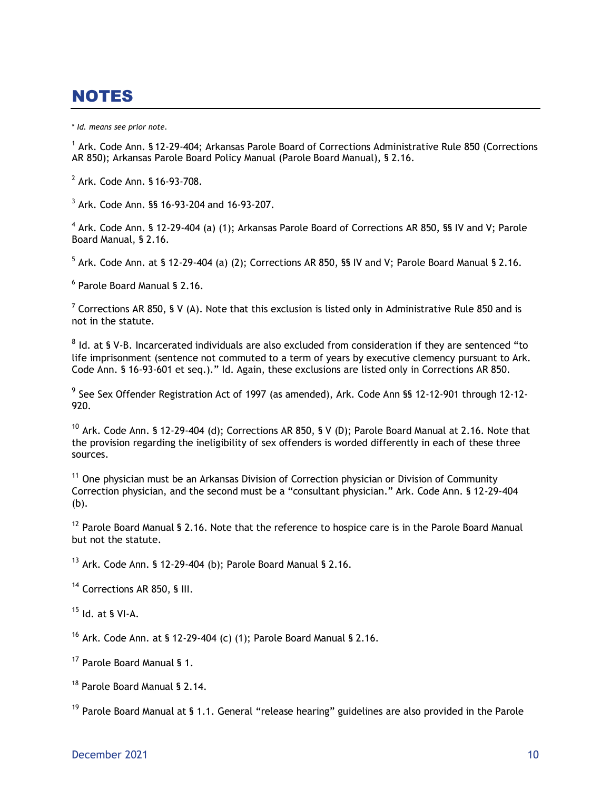# NOTES

\* *Id. means see prior note.*

<sup>1</sup> Ark. Code Ann. § 12-29-404; Arkansas Parole Board of Corrections Administrative Rule 850 (Corrections AR 850); Arkansas Parole Board Policy Manual (Parole Board Manual), § 2.16.

2 Ark. Code Ann. § 16-93-708.

3 Ark. Code Ann. §§ 16-93-204 and 16-93-207.

<sup>4</sup> Ark. Code Ann. § 12-29-404 (a) (1); Arkansas Parole Board of Corrections AR 850, §§ IV and V; Parole Board Manual, § 2.16.

 $^5$  Ark. Code Ann. at § 12-29-404 (a) (2); Corrections AR 850, §§ IV and V; Parole Board Manual § 2.16.

6 Parole Board Manual § 2.16.

<sup>7</sup> Corrections AR 850, § V (A). Note that this exclusion is listed only in Administrative Rule 850 and is not in the statute.

 $^8$  Id. at § V-B. Incarcerated individuals are also excluded from consideration if they are sentenced "to life imprisonment (sentence not commuted to a term of years by executive clemency pursuant to Ark. Code Ann. § 16-93-601 et seq.)." Id. Again, these exclusions are listed only in Corrections AR 850.

<sup>9</sup> See Sex Offender Registration Act of 1997 (as amended), Ark. Code Ann §§ 12-12-901 through 12-12-920.

 $10$  Ark. Code Ann. § 12-29-404 (d); Corrections AR 850, § V (D); Parole Board Manual at 2.16. Note that the provision regarding the ineligibility of sex offenders is worded differently in each of these three sources.

 $11$  One physician must be an Arkansas Division of Correction physician or Division of Community Correction physician, and the second must be a "consultant physician." Ark. Code Ann. § 12-29-404 (b).

 $12$  Parole Board Manual § 2.16. Note that the reference to hospice care is in the Parole Board Manual but not the statute.

 $13$  Ark. Code Ann. § 12-29-404 (b); Parole Board Manual § 2.16.

<sup>14</sup> Corrections AR 850, § III.

 $15$  Id. at § VI-A.

<sup>16</sup> Ark. Code Ann. at § 12-29-404 (c) (1); Parole Board Manual § 2.16.

<sup>17</sup> Parole Board Manual § 1.

<sup>18</sup> Parole Board Manual § 2.14.

 $19$  Parole Board Manual at § 1.1. General "release hearing" guidelines are also provided in the Parole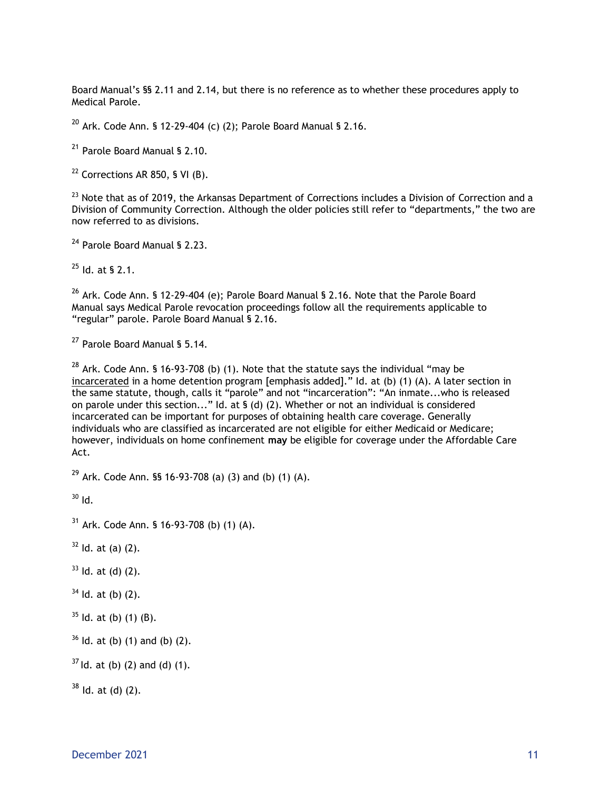Board Manual's §§ 2.11 and 2.14, but there is no reference as to whether these procedures apply to Medical Parole.

 $20$  Ark. Code Ann. § 12-29-404 (c) (2); Parole Board Manual § 2.16.

<sup>21</sup> Parole Board Manual § 2.10.

 $22$  Corrections AR 850, § VI (B).

<sup>23</sup> Note that as of 2019, the Arkansas Department of Corrections includes a Division of Correction and a Division of Community Correction. Although the older policies still refer to "departments," the two are now referred to as divisions.

<sup>24</sup> Parole Board Manual § 2.23.

 $^{25}$  Id. at § 2.1.

 $26$  Ark. Code Ann. § 12-29-404 (e); Parole Board Manual § 2.16. Note that the Parole Board Manual says Medical Parole revocation proceedings follow all the requirements applicable to "regular" parole. Parole Board Manual § 2.16.

<sup>27</sup> Parole Board Manual § 5.14.

 $28$  Ark. Code Ann. § 16-93-708 (b) (1). Note that the statute says the individual "may be incarcerated in a home detention program [emphasis added]." Id. at (b) (1) (A). A later section in the same statute, though, calls it "parole" and not "incarceration": "An inmate...who is released on parole under this section..." Id. at § (d) (2). Whether or not an individual is considered incarcerated can be important for purposes of obtaining health care coverage. Generally individuals who are classified as incarcerated are not eligible for either Medicaid or Medicare; however, individuals on home confinement **may** be eligible for coverage under the Affordable Care Act.

<sup>29</sup> Ark. Code Ann. §§ 16-93-708 (a) (3) and (b) (1) (A).

 $30$  Id.

 $31$  Ark. Code Ann. § 16-93-708 (b) (1) (A).

 $32$  Id. at (a) (2).

 $33$  ld. at (d) (2).

- $34$  Id. at (b) (2).
- $35$  Id. at (b) (1) (B).
- $36$  ld. at (b) (1) and (b) (2).

 $37$  Id. at (b) (2) and (d) (1).

 $38$  Id. at (d) (2).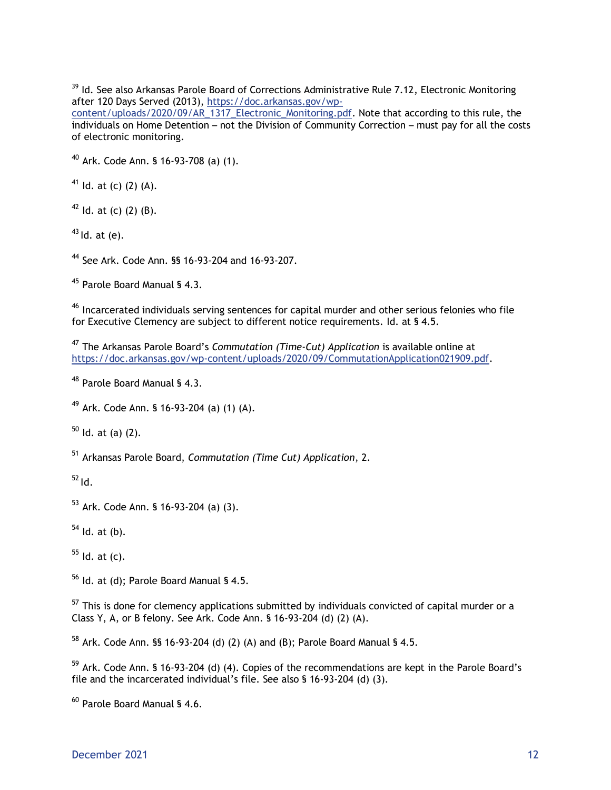<sup>39</sup> Id. See also Arkansas Parole Board of Corrections Administrative Rule 7.12, Electronic Monitoring after 120 Days Served (2013), [https://doc.arkansas.gov/wp-](https://doc.arkansas.gov/wp-content/uploads/2020/09/AR_1317_Electronic_Monitoring.pdf)

[content/uploads/2020/09/AR\\_1317\\_Electronic\\_Monitoring.pdf.](https://doc.arkansas.gov/wp-content/uploads/2020/09/AR_1317_Electronic_Monitoring.pdf) Note that according to this rule, the individuals on Home Detention – not the Division of Community Correction – must pay for all the costs of electronic monitoring.

<sup>40</sup> Ark. Code Ann. § 16-93-708 (a) (1).

<sup>41</sup> Id. at (c) (2) (A).

 $42$  Id. at (c) (2) (B).

 $43$  Id. at (e).

<sup>44</sup> See Ark. Code Ann. §§ 16-93-204 and 16-93-207.

<sup>45</sup> Parole Board Manual § 4.3.

<sup>46</sup> Incarcerated individuals serving sentences for capital murder and other serious felonies who file for Executive Clemency are subject to different notice requirements. Id. at § 4.5.

<sup>47</sup> The Arkansas Parole Board's *Commutation (Time-Cut) Application* is available online at [https://doc.arkansas.gov/wp-content/uploads/2020/09/CommutationApplication021909.pdf.](https://doc.arkansas.gov/wp-content/uploads/2020/09/CommutationApplication021909.pdf)

<sup>48</sup> Parole Board Manual § 4.3.

<sup>49</sup> Ark. Code Ann. § 16-93-204 (a) (1) (A).

 $50$  Id. at (a) (2).

<sup>51</sup> Arkansas Parole Board, *Commutation (Time Cut) Application*, 2.

 $52$  Id.

<sup>53</sup> Ark. Code Ann. § 16-93-204 (a) (3).

 $<sup>54</sup>$  Id. at (b).</sup>

 $55$  Id. at (c).

 $56$  Id. at (d); Parole Board Manual § 4.5.

 $57$  This is done for clemency applications submitted by individuals convicted of capital murder or a Class Y, A, or B felony. See Ark. Code Ann. § 16-93-204 (d) (2) (A).

 $58$  Ark. Code Ann. §§ 16-93-204 (d) (2) (A) and (B); Parole Board Manual § 4.5.

<sup>59</sup> Ark. Code Ann. § 16-93-204 (d) (4). Copies of the recommendations are kept in the Parole Board's file and the incarcerated individual's file. See also § 16-93-204 (d) (3).

<sup>60</sup> Parole Board Manual § 4.6.